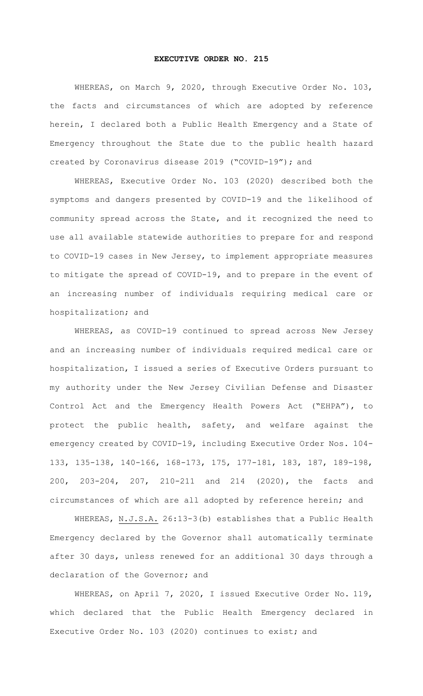## **EXECUTIVE ORDER NO. 215**

WHEREAS, on March 9, 2020, through Executive Order No. 103, the facts and circumstances of which are adopted by reference herein, I declared both a Public Health Emergency and a State of Emergency throughout the State due to the public health hazard created by Coronavirus disease 2019 ("COVID-19"); and

WHEREAS, Executive Order No. 103 (2020) described both the symptoms and dangers presented by COVID-19 and the likelihood of community spread across the State, and it recognized the need to use all available statewide authorities to prepare for and respond to COVID-19 cases in New Jersey, to implement appropriate measures to mitigate the spread of COVID-19, and to prepare in the event of an increasing number of individuals requiring medical care or hospitalization; and

WHEREAS, as COVID-19 continued to spread across New Jersey and an increasing number of individuals required medical care or hospitalization, I issued a series of Executive Orders pursuant to my authority under the New Jersey Civilian Defense and Disaster Control Act and the Emergency Health Powers Act ("EHPA"), to protect the public health, safety, and welfare against the emergency created by COVID-19, including Executive Order Nos. 104- 133, 135-138, 140-166, 168-173, 175, 177-181, 183, 187, 189-198, 200, 203-204, 207, 210-211 and 214 (2020), the facts and circumstances of which are all adopted by reference herein; and

WHEREAS, N.J.S.A. 26:13-3(b) establishes that a Public Health Emergency declared by the Governor shall automatically terminate after 30 days, unless renewed for an additional 30 days through a declaration of the Governor; and

WHEREAS, on April 7, 2020, I issued Executive Order No. 119, which declared that the Public Health Emergency declared in Executive Order No. 103 (2020) continues to exist; and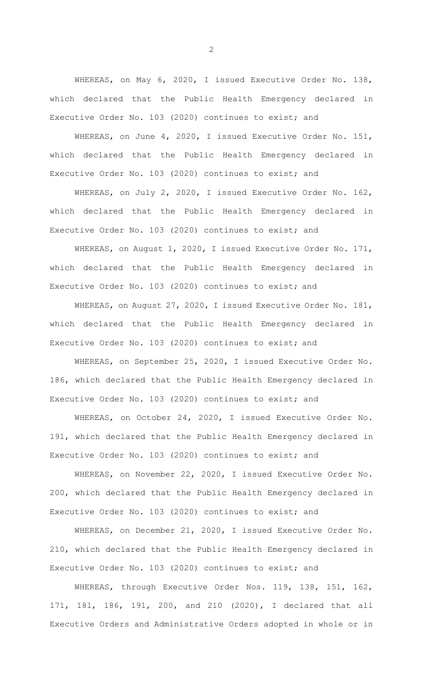WHEREAS, on May 6, 2020, I issued Executive Order No. 138, which declared that the Public Health Emergency declared in Executive Order No. 103 (2020) continues to exist; and

WHEREAS, on June 4, 2020, I issued Executive Order No. 151, which declared that the Public Health Emergency declared in Executive Order No. 103 (2020) continues to exist; and

WHEREAS, on July 2, 2020, I issued Executive Order No. 162, which declared that the Public Health Emergency declared in Executive Order No. 103 (2020) continues to exist; and

WHEREAS, on August 1, 2020, I issued Executive Order No. 171, which declared that the Public Health Emergency declared in Executive Order No. 103 (2020) continues to exist; and

WHEREAS, on August 27, 2020, I issued Executive Order No. 181, which declared that the Public Health Emergency declared in Executive Order No. 103 (2020) continues to exist; and

WHEREAS, on September 25, 2020, I issued Executive Order No. 186, which declared that the Public Health Emergency declared in Executive Order No. 103 (2020) continues to exist; and

WHEREAS, on October 24, 2020, I issued Executive Order No. 191, which declared that the Public Health Emergency declared in Executive Order No. 103 (2020) continues to exist; and

WHEREAS, on November 22, 2020, I issued Executive Order No. 200, which declared that the Public Health Emergency declared in Executive Order No. 103 (2020) continues to exist; and

WHEREAS, on December 21, 2020, I issued Executive Order No. 210, which declared that the Public Health Emergency declared in Executive Order No. 103 (2020) continues to exist; and

WHEREAS, through Executive Order Nos. 119, 138, 151, 162, 171, 181, 186, 191, 200, and 210 (2020), I declared that all Executive Orders and Administrative Orders adopted in whole or in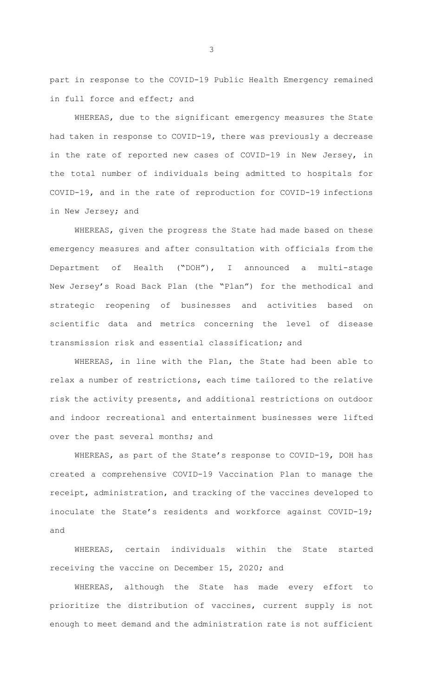part in response to the COVID-19 Public Health Emergency remained in full force and effect; and

WHEREAS, due to the significant emergency measures the State had taken in response to COVID-19, there was previously a decrease in the rate of reported new cases of COVID-19 in New Jersey, in the total number of individuals being admitted to hospitals for COVID-19, and in the rate of reproduction for COVID-19 infections in New Jersey; and

WHEREAS, given the progress the State had made based on these emergency measures and after consultation with officials from the Department of Health ("DOH"), I announced a multi-stage New Jersey's Road Back Plan (the "Plan") for the methodical and strategic reopening of businesses and activities based on scientific data and metrics concerning the level of disease transmission risk and essential classification; and

WHEREAS, in line with the Plan, the State had been able to relax a number of restrictions, each time tailored to the relative risk the activity presents, and additional restrictions on outdoor and indoor recreational and entertainment businesses were lifted over the past several months; and

WHEREAS, as part of the State's response to COVID-19, DOH has created a comprehensive COVID-19 Vaccination Plan to manage the receipt, administration, and tracking of the vaccines developed to inoculate the State's residents and workforce against COVID-19; and

WHEREAS, certain individuals within the State started receiving the vaccine on December 15, 2020; and

WHEREAS, although the State has made every effort to prioritize the distribution of vaccines, current supply is not enough to meet demand and the administration rate is not sufficient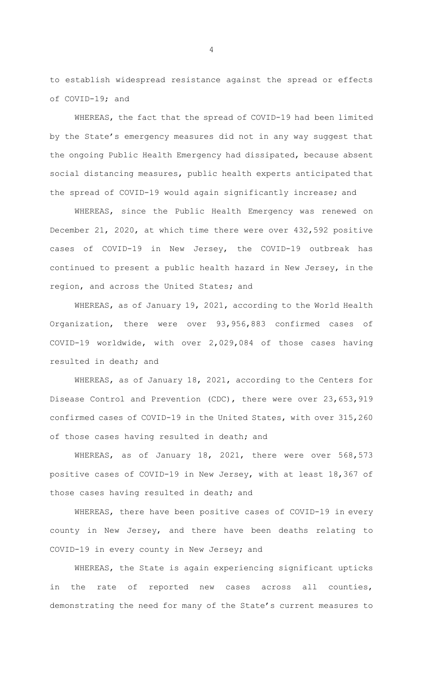to establish widespread resistance against the spread or effects of COVID-19; and

WHEREAS, the fact that the spread of COVID-19 had been limited by the State's emergency measures did not in any way suggest that the ongoing Public Health Emergency had dissipated, because absent social distancing measures, public health experts anticipated that the spread of COVID-19 would again significantly increase; and

WHEREAS, since the Public Health Emergency was renewed on December 21, 2020, at which time there were over 432,592 positive cases of COVID-19 in New Jersey, the COVID-19 outbreak has continued to present a public health hazard in New Jersey, in the region, and across the United States; and

WHEREAS, as of January 19, 2021, according to the World Health Organization, there were over 93,956,883 confirmed cases of COVID-19 worldwide, with over 2,029,084 of those cases having resulted in death; and

WHEREAS, as of January 18, 2021, according to the Centers for Disease Control and Prevention (CDC), there were over 23,653,919 confirmed cases of COVID-19 in the United States, with over 315,260 of those cases having resulted in death; and

WHEREAS, as of January 18, 2021, there were over 568,573 positive cases of COVID-19 in New Jersey, with at least 18,367 of those cases having resulted in death; and

WHEREAS, there have been positive cases of COVID-19 in every county in New Jersey, and there have been deaths relating to COVID-19 in every county in New Jersey; and

WHEREAS, the State is again experiencing significant upticks in the rate of reported new cases across all counties, demonstrating the need for many of the State's current measures to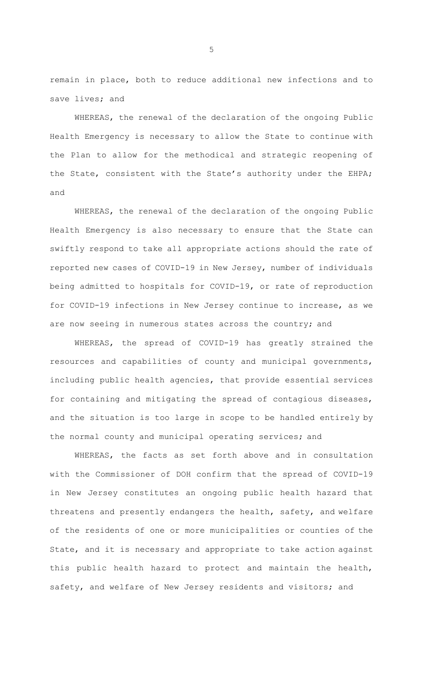remain in place, both to reduce additional new infections and to save lives; and

WHEREAS, the renewal of the declaration of the ongoing Public Health Emergency is necessary to allow the State to continue with the Plan to allow for the methodical and strategic reopening of the State, consistent with the State's authority under the EHPA; and

WHEREAS, the renewal of the declaration of the ongoing Public Health Emergency is also necessary to ensure that the State can swiftly respond to take all appropriate actions should the rate of reported new cases of COVID-19 in New Jersey, number of individuals being admitted to hospitals for COVID-19, or rate of reproduction for COVID-19 infections in New Jersey continue to increase, as we are now seeing in numerous states across the country; and

WHEREAS, the spread of COVID-19 has greatly strained the resources and capabilities of county and municipal governments, including public health agencies, that provide essential services for containing and mitigating the spread of contagious diseases, and the situation is too large in scope to be handled entirely by the normal county and municipal operating services; and

WHEREAS, the facts as set forth above and in consultation with the Commissioner of DOH confirm that the spread of COVID-19 in New Jersey constitutes an ongoing public health hazard that threatens and presently endangers the health, safety, and welfare of the residents of one or more municipalities or counties of the State, and it is necessary and appropriate to take action against this public health hazard to protect and maintain the health, safety, and welfare of New Jersey residents and visitors; and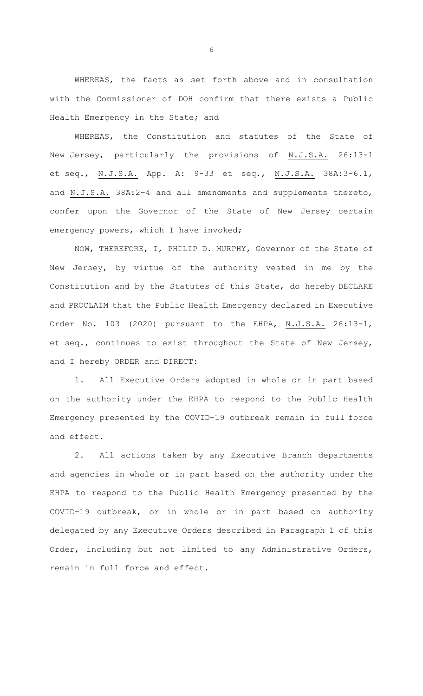WHEREAS, the facts as set forth above and in consultation with the Commissioner of DOH confirm that there exists a Public Health Emergency in the State; and

WHEREAS, the Constitution and statutes of the State of New Jersey, particularly the provisions of N.J.S.A. 26:13-1 et seq., N.J.S.A. App. A: 9-33 et seq., N.J.S.A. 38A:3-6.1, and N.J.S.A. 38A:2-4 and all amendments and supplements thereto, confer upon the Governor of the State of New Jersey certain emergency powers, which I have invoked;

NOW, THEREFORE, I, PHILIP D. MURPHY, Governor of the State of New Jersey, by virtue of the authority vested in me by the Constitution and by the Statutes of this State, do hereby DECLARE and PROCLAIM that the Public Health Emergency declared in Executive Order No. 103 (2020) pursuant to the EHPA, N.J.S.A. 26:13-1, et seq., continues to exist throughout the State of New Jersey, and I hereby ORDER and DIRECT:

1. All Executive Orders adopted in whole or in part based on the authority under the EHPA to respond to the Public Health Emergency presented by the COVID-19 outbreak remain in full force and effect.

2. All actions taken by any Executive Branch departments and agencies in whole or in part based on the authority under the EHPA to respond to the Public Health Emergency presented by the COVID-19 outbreak, or in whole or in part based on authority delegated by any Executive Orders described in Paragraph 1 of this Order, including but not limited to any Administrative Orders, remain in full force and effect.